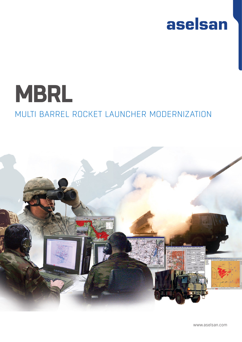## aselsan

# **MBRL** MULTI BARREL ROCKET LAUNCHER MODERNIZATION